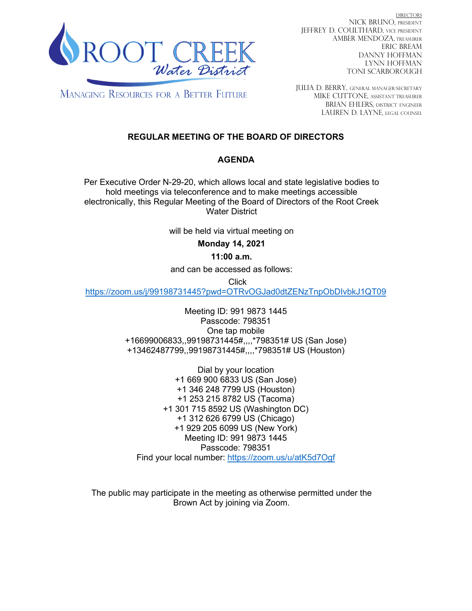

DIRECTORS NICK BRUNO, PRESIDENT JEFFREY D. COULTHARD, Vice President AMBER MENDOZA, TREASURER ERIC BREAM DANNY HOFFMAN LYNN HOFFMAN TONI SCARBOROUGH

**MANAGING RESOURCES FOR A BETTER FUTURE** 

JULIA D. BERRY, GENERAL MANAGER/secretary MIKE CUTTONE, Assistant treasurer BRIAN EHLERS, DISTRICT ENGINEER LAUREN D. LAYNE, LEGAL COUNSEL

# **REGULAR MEETING OF THE BOARD OF DIRECTORS**

# **AGENDA**

Per Executive Order N-29-20, which allows local and state legislative bodies to hold meetings via teleconference and to make meetings accessible electronically, this Regular Meeting of the Board of Directors of the Root Creek Water District

will be held via virtual meeting on

# **Monday 14, 2021**

## **11:00 a.m.**

and can be accessed as follows:

Click

<https://zoom.us/j/99198731445?pwd=OTRvOGJad0dtZENzTnpObDIvbkJ1QT09>

Meeting ID: 991 9873 1445 Passcode: 798351 One tap mobile +16699006833,,99198731445#,,,,\*798351# US (San Jose) +13462487799,,99198731445#,,,,\*798351# US (Houston)

Dial by your location +1 669 900 6833 US (San Jose) +1 346 248 7799 US (Houston) +1 253 215 8782 US (Tacoma) +1 301 715 8592 US (Washington DC) +1 312 626 6799 US (Chicago) +1 929 205 6099 US (New York) Meeting ID: 991 9873 1445 Passcode: 798351 Find your local number:<https://zoom.us/u/atK5d7Ogf>

The public may participate in the meeting as otherwise permitted under the Brown Act by joining via Zoom.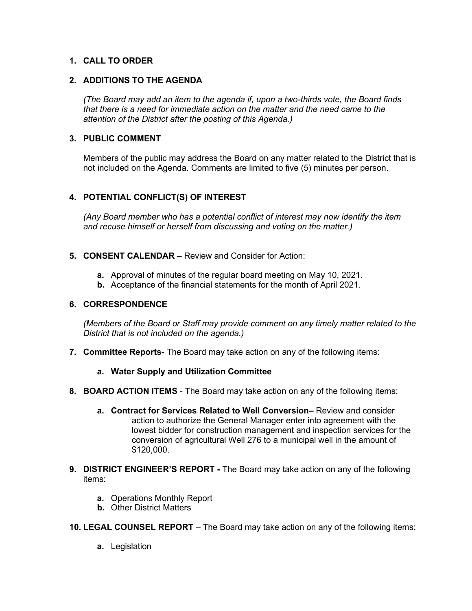### **1. CALL TO ORDER**

### **2. ADDITIONS TO THE AGENDA**

*(The Board may add an item to the agenda if, upon a two-thirds vote, the Board finds that there is a need for immediate action on the matter and the need came to the attention of the District after the posting of this Agenda.)*

### **3. PUBLIC COMMENT**

Members of the public may address the Board on any matter related to the District that is not included on the Agenda. Comments are limited to five (5) minutes per person.

## **4. POTENTIAL CONFLICT(S) OF INTEREST**

*(Any Board member who has a potential conflict of interest may now identify the item and recuse himself or herself from discussing and voting on the matter.)*

- **5. CONSENT CALENDAR**  Review and Consider for Action:
	- **a.** Approval of minutes of the regular board meeting on May 10, 2021.
	- **b.** Acceptance of the financial statements for the month of April 2021.

#### **6. CORRESPONDENCE**

*(Members of the Board or Staff may provide comment on any timely matter related to the District that is not included on the agenda.)*

- **7. Committee Reports** The Board may take action on any of the following items:
	- **a. Water Supply and Utilization Committee**
- **8. BOARD ACTION ITEMS**  The Board may take action on any of the following items:
	- **a. Contract for Services Related to Well Conversion–** Review and consider action to authorize the General Manager enter into agreement with the lowest bidder for construction management and inspection services for the conversion of agricultural Well 276 to a municipal well in the amount of \$120,000.
- **9. DISTRICT ENGINEER'S REPORT -** The Board may take action on any of the following items:
	- **a.** Operations Monthly Report
	- **b.** Other District Matters

**10. LEGAL COUNSEL REPORT** – The Board may take action on any of the following items:

**a.** Legislation